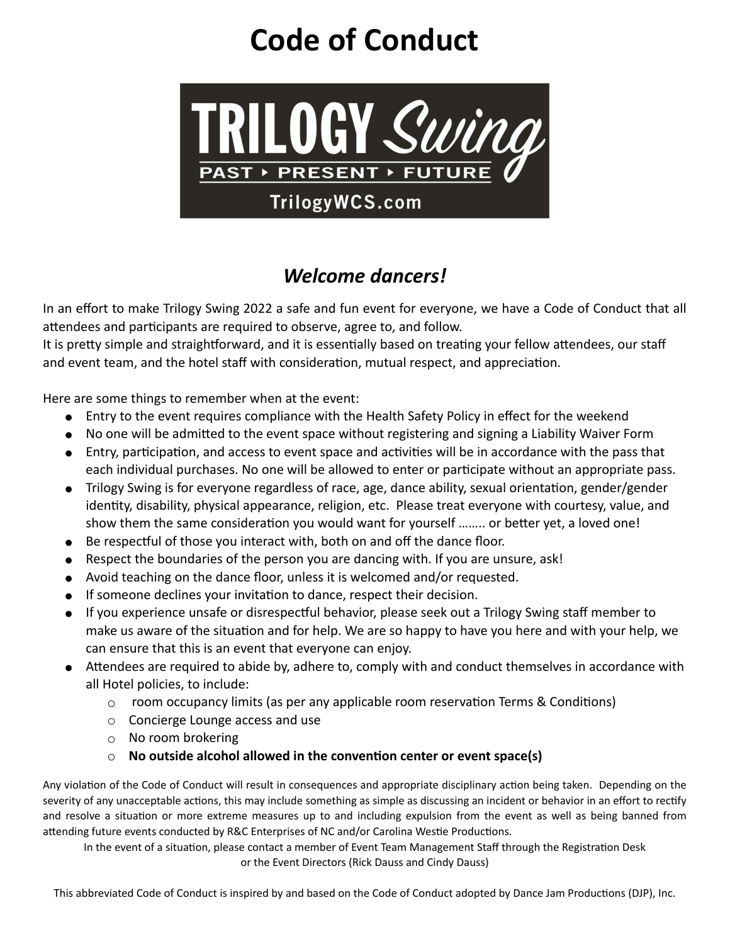## **Code of Conduct**



## *Welcome dancers!*

In an effort to make Trilogy Swing 2022 a safe and fun event for everyone, we have a Code of Conduct that all attendees and participants are required to observe, agree to, and follow.

It is pretty simple and straightforward, and it is essentially based on treating your fellow attendees, our staff and event team, and the hotel staff with consideration, mutual respect, and appreciation.

Here are some things to remember when at the event:

- Entry to the event requires compliance with the Health Safety Policy in effect for the weekend
- No one will be admitted to the event space without registering and signing a Liability Waiver Form
- Entry, participation, and access to event space and activities will be in accordance with the pass that each individual purchases. No one will be allowed to enter or participate without an appropriate pass.
- Trilogy Swing is for everyone regardless of race, age, dance ability, sexual orientation, gender/gender identity, disability, physical appearance, religion, etc. Please treat everyone with courtesy, value, and show them the same consideration you would want for yourself …….. or better yet, a loved one!
- Be respectful of those you interact with, both on and off the dance floor.
- Respect the boundaries of the person you are dancing with. If you are unsure, ask!
- Avoid teaching on the dance floor, unless it is welcomed and/or requested.
- If someone declines your invitation to dance, respect their decision.
- If you experience unsafe or disrespectful behavior, please seek out a Trilogy Swing staff member to make us aware of the situation and for help. We are so happy to have you here and with your help, we can ensure that this is an event that everyone can enjoy.
- Attendees are required to abide by, adhere to, comply with and conduct themselves in accordance with all Hotel policies, to include:
	- $\circ$  room occupancy limits (as per any applicable room reservation Terms & Conditions)
	- o Concierge Lounge access and use
	- o No room brokering
	- o **No outside alcohol allowed in the convention center or event space(s)**

Any violation of the Code of Conduct will result in consequences and appropriate disciplinary action being taken. Depending on the severity of any unacceptable actions, this may include something as simple as discussing an incident or behavior in an effort to rectify and resolve a situation or more extreme measures up to and including expulsion from the event as well as being banned from attending future events conducted by R&C Enterprises of NC and/or Carolina Westie Productions.

In the event of a situation, please contact a member of Event Team Management Staff through the Registration Desk or the Event Directors (Rick Dauss and Cindy Dauss)

This abbreviated Code of Conduct is inspired by and based on the Code of Conduct adopted by Dance Jam Productions (DJP), Inc.